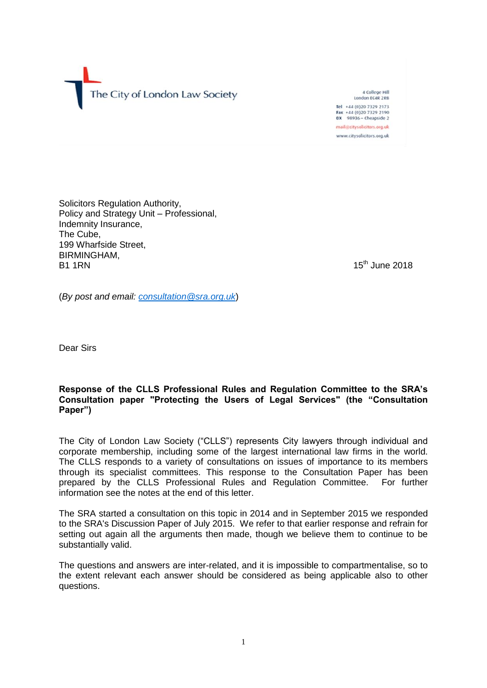The City of London Law Society

4 College Hill London EC4R 2RB Tel +44 (0)20 7329 2173 Fax +44 (0)20 7329 2190<br>DX 98936 - Cheapside 2 mail@citysolicitors.org.uk www.citysolicitors.org.uk

Solicitors Regulation Authority, Policy and Strategy Unit – Professional, Indemnity Insurance, The Cube, 199 Wharfside Street, BIRMINGHAM,<br>B1 1RN B1 1RN 15

 $15<sup>th</sup>$  June 2018

(*By post and email: [consultation@sra.org.uk](mailto:consultation@sra.org.uk)*)

Dear Sirs

# **Response of the CLLS Professional Rules and Regulation Committee to the SRA's Consultation paper "Protecting the Users of Legal Services" (the "Consultation Paper")**

The City of London Law Society ("CLLS") represents City lawyers through individual and corporate membership, including some of the largest international law firms in the world. The CLLS responds to a variety of consultations on issues of importance to its members through its specialist committees. This response to the Consultation Paper has been prepared by the CLLS Professional Rules and Regulation Committee. For further information see the notes at the end of this letter.

The SRA started a consultation on this topic in 2014 and in September 2015 we responded to the SRA's Discussion Paper of July 2015. We refer to that earlier response and refrain for setting out again all the arguments then made, though we believe them to continue to be substantially valid.

The questions and answers are inter-related, and it is impossible to compartmentalise, so to the extent relevant each answer should be considered as being applicable also to other questions.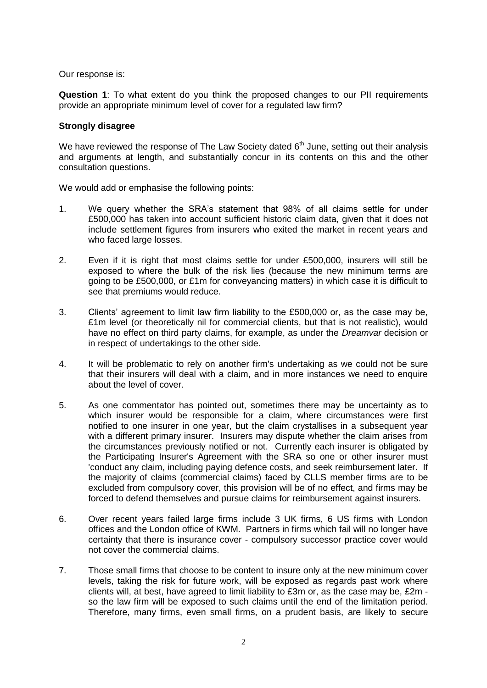Our response is:

**Question 1**: To what extent do you think the proposed changes to our PII requirements provide an appropriate minimum level of cover for a regulated law firm?

## **Strongly disagree**

We have reviewed the response of The Law Society dated  $6<sup>th</sup>$  June, setting out their analysis and arguments at length, and substantially concur in its contents on this and the other consultation questions.

We would add or emphasise the following points:

- 1. We query whether the SRA's statement that 98% of all claims settle for under £500,000 has taken into account sufficient historic claim data, given that it does not include settlement figures from insurers who exited the market in recent years and who faced large losses.
- 2. Even if it is right that most claims settle for under £500,000, insurers will still be exposed to where the bulk of the risk lies (because the new minimum terms are going to be £500,000, or £1m for conveyancing matters) in which case it is difficult to see that premiums would reduce.
- 3. Clients' agreement to limit law firm liability to the £500,000 or, as the case may be, £1m level (or theoretically nil for commercial clients, but that is not realistic), would have no effect on third party claims, for example, as under the *Dreamvar* decision or in respect of undertakings to the other side.
- 4. It will be problematic to rely on another firm's undertaking as we could not be sure that their insurers will deal with a claim, and in more instances we need to enquire about the level of cover.
- 5. As one commentator has pointed out, sometimes there may be uncertainty as to which insurer would be responsible for a claim, where circumstances were first notified to one insurer in one year, but the claim crystallises in a subsequent year with a different primary insurer. Insurers may dispute whether the claim arises from the circumstances previously notified or not. Currently each insurer is obligated by the Participating Insurer's Agreement with the SRA so one or other insurer must 'conduct any claim, including paying defence costs, and seek reimbursement later. If the majority of claims (commercial claims) faced by CLLS member firms are to be excluded from compulsory cover, this provision will be of no effect, and firms may be forced to defend themselves and pursue claims for reimbursement against insurers.
- 6. Over recent years failed large firms include 3 UK firms, 6 US firms with London offices and the London office of KWM. Partners in firms which fail will no longer have certainty that there is insurance cover - compulsory successor practice cover would not cover the commercial claims.
- 7. Those small firms that choose to be content to insure only at the new minimum cover levels, taking the risk for future work, will be exposed as regards past work where clients will, at best, have agreed to limit liability to £3m or, as the case may be, £2m so the law firm will be exposed to such claims until the end of the limitation period. Therefore, many firms, even small firms, on a prudent basis, are likely to secure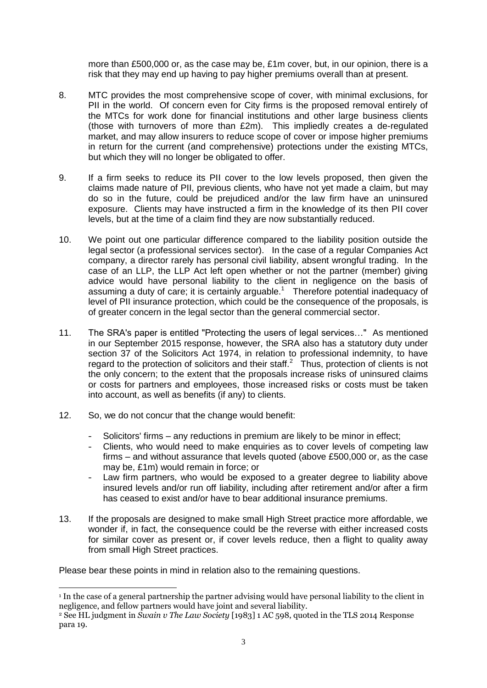more than £500,000 or, as the case may be, £1m cover, but, in our opinion, there is a risk that they may end up having to pay higher premiums overall than at present.

- 8. MTC provides the most comprehensive scope of cover, with minimal exclusions, for PII in the world. Of concern even for City firms is the proposed removal entirely of the MTCs for work done for financial institutions and other large business clients (those with turnovers of more than £2m). This impliedly creates a de-regulated market, and may allow insurers to reduce scope of cover or impose higher premiums in return for the current (and comprehensive) protections under the existing MTCs, but which they will no longer be obligated to offer.
- 9. If a firm seeks to reduce its PII cover to the low levels proposed, then given the claims made nature of PII, previous clients, who have not yet made a claim, but may do so in the future, could be prejudiced and/or the law firm have an uninsured exposure. Clients may have instructed a firm in the knowledge of its then PII cover levels, but at the time of a claim find they are now substantially reduced.
- 10. We point out one particular difference compared to the liability position outside the legal sector (a professional services sector). In the case of a regular Companies Act company, a director rarely has personal civil liability, absent wrongful trading. In the case of an LLP, the LLP Act left open whether or not the partner (member) giving advice would have personal liability to the client in negligence on the basis of assuming a duty of care; it is certainly arguable. $1$  Therefore potential inadequacy of level of PII insurance protection, which could be the consequence of the proposals, is of greater concern in the legal sector than the general commercial sector.
- 11. The SRA's paper is entitled "Protecting the users of legal services…" As mentioned in our September 2015 response, however, the SRA also has a statutory duty under section 37 of the Solicitors Act 1974, in relation to professional indemnity, to have regard to the protection of solicitors and their staff. $2$  Thus, protection of clients is not the only concern; to the extent that the proposals increase risks of uninsured claims or costs for partners and employees, those increased risks or costs must be taken into account, as well as benefits (if any) to clients.
- 12. So, we do not concur that the change would benefit:
	- Solicitors' firms any reductions in premium are likely to be minor in effect;
	- Clients, who would need to make enquiries as to cover levels of competing law firms – and without assurance that levels quoted (above £500,000 or, as the case may be, £1m) would remain in force; or
	- Law firm partners, who would be exposed to a greater degree to liability above insured levels and/or run off liability, including after retirement and/or after a firm has ceased to exist and/or have to bear additional insurance premiums.
- 13. If the proposals are designed to make small High Street practice more affordable, we wonder if, in fact, the consequence could be the reverse with either increased costs for similar cover as present or, if cover levels reduce, then a flight to quality away from small High Street practices.

Please bear these points in mind in relation also to the remaining questions.

 $\overline{a}$ <sup>1</sup> In the case of a general partnership the partner advising would have personal liability to the client in negligence, and fellow partners would have joint and several liability.

<sup>2</sup> See HL judgment in *Swain v The Law Society* [1983] 1 AC 598, quoted in the TLS 2014 Response para 19.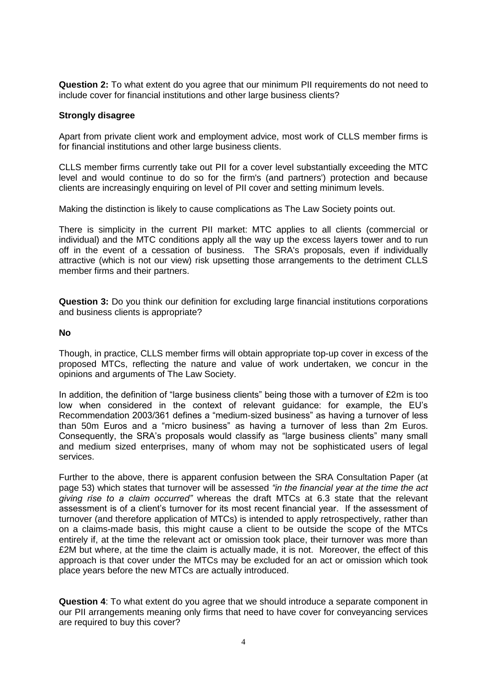**Question 2:** To what extent do you agree that our minimum PII requirements do not need to include cover for financial institutions and other large business clients?

## **Strongly disagree**

Apart from private client work and employment advice, most work of CLLS member firms is for financial institutions and other large business clients.

CLLS member firms currently take out PII for a cover level substantially exceeding the MTC level and would continue to do so for the firm's (and partners') protection and because clients are increasingly enquiring on level of PII cover and setting minimum levels.

Making the distinction is likely to cause complications as The Law Society points out.

There is simplicity in the current PII market: MTC applies to all clients (commercial or individual) and the MTC conditions apply all the way up the excess layers tower and to run off in the event of a cessation of business. The SRA's proposals, even if individually attractive (which is not our view) risk upsetting those arrangements to the detriment CLLS member firms and their partners.

**Question 3:** Do you think our definition for excluding large financial institutions corporations and business clients is appropriate?

## **No**

Though, in practice, CLLS member firms will obtain appropriate top-up cover in excess of the proposed MTCs, reflecting the nature and value of work undertaken, we concur in the opinions and arguments of The Law Society.

In addition, the definition of "large business clients" being those with a turnover of £2m is too low when considered in the context of relevant guidance: for example, the EU's Recommendation 2003/361 defines a "medium-sized business" as having a turnover of less than 50m Euros and a "micro business" as having a turnover of less than 2m Euros. Consequently, the SRA's proposals would classify as "large business clients" many small and medium sized enterprises, many of whom may not be sophisticated users of legal services.

Further to the above, there is apparent confusion between the SRA Consultation Paper (at page 53) which states that turnover will be assessed *"in the financial year at the time the act giving rise to a claim occurred"* whereas the draft MTCs at 6.3 state that the relevant assessment is of a client's turnover for its most recent financial year. If the assessment of turnover (and therefore application of MTCs) is intended to apply retrospectively, rather than on a claims-made basis, this might cause a client to be outside the scope of the MTCs entirely if, at the time the relevant act or omission took place, their turnover was more than £2M but where, at the time the claim is actually made, it is not. Moreover, the effect of this approach is that cover under the MTCs may be excluded for an act or omission which took place years before the new MTCs are actually introduced.

**Question 4**: To what extent do you agree that we should introduce a separate component in our PII arrangements meaning only firms that need to have cover for conveyancing services are required to buy this cover?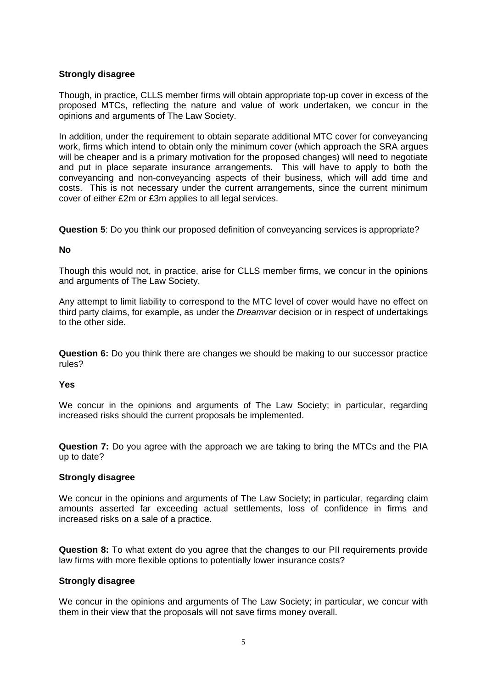# **Strongly disagree**

Though, in practice, CLLS member firms will obtain appropriate top-up cover in excess of the proposed MTCs, reflecting the nature and value of work undertaken, we concur in the opinions and arguments of The Law Society.

In addition, under the requirement to obtain separate additional MTC cover for conveyancing work, firms which intend to obtain only the minimum cover (which approach the SRA argues will be cheaper and is a primary motivation for the proposed changes) will need to negotiate and put in place separate insurance arrangements. This will have to apply to both the conveyancing and non-conveyancing aspects of their business, which will add time and costs. This is not necessary under the current arrangements, since the current minimum cover of either £2m or £3m applies to all legal services.

**Question 5**: Do you think our proposed definition of conveyancing services is appropriate?

## **No**

Though this would not, in practice, arise for CLLS member firms, we concur in the opinions and arguments of The Law Society.

Any attempt to limit liability to correspond to the MTC level of cover would have no effect on third party claims, for example, as under the *Dreamvar* decision or in respect of undertakings to the other side.

**Question 6:** Do you think there are changes we should be making to our successor practice rules?

#### **Yes**

We concur in the opinions and arguments of The Law Society; in particular, regarding increased risks should the current proposals be implemented.

**Question 7:** Do you agree with the approach we are taking to bring the MTCs and the PIA up to date?

#### **Strongly disagree**

We concur in the opinions and arguments of The Law Society; in particular, regarding claim amounts asserted far exceeding actual settlements, loss of confidence in firms and increased risks on a sale of a practice.

**Question 8:** To what extent do you agree that the changes to our PII requirements provide law firms with more flexible options to potentially lower insurance costs?

#### **Strongly disagree**

We concur in the opinions and arguments of The Law Society; in particular, we concur with them in their view that the proposals will not save firms money overall.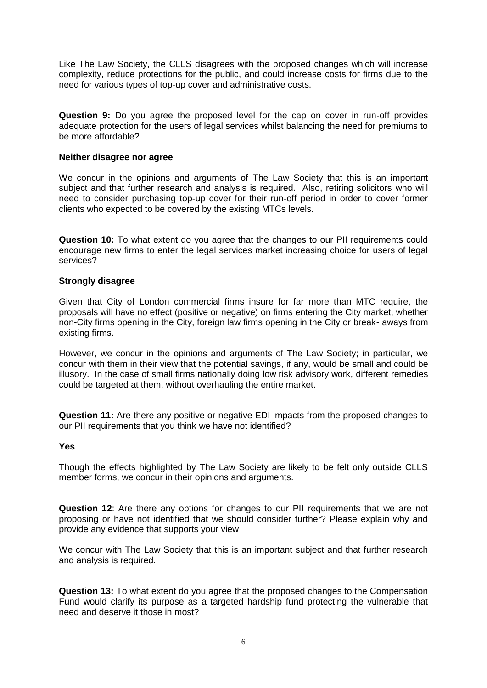Like The Law Society, the CLLS disagrees with the proposed changes which will increase complexity, reduce protections for the public, and could increase costs for firms due to the need for various types of top-up cover and administrative costs.

**Question 9:** Do you agree the proposed level for the cap on cover in run-off provides adequate protection for the users of legal services whilst balancing the need for premiums to be more affordable?

## **Neither disagree nor agree**

We concur in the opinions and arguments of The Law Society that this is an important subject and that further research and analysis is required. Also, retiring solicitors who will need to consider purchasing top-up cover for their run-off period in order to cover former clients who expected to be covered by the existing MTCs levels.

**Question 10:** To what extent do you agree that the changes to our PII requirements could encourage new firms to enter the legal services market increasing choice for users of legal services?

## **Strongly disagree**

Given that City of London commercial firms insure for far more than MTC require, the proposals will have no effect (positive or negative) on firms entering the City market, whether non-City firms opening in the City, foreign law firms opening in the City or break- aways from existing firms.

However, we concur in the opinions and arguments of The Law Society; in particular, we concur with them in their view that the potential savings, if any, would be small and could be illusory. In the case of small firms nationally doing low risk advisory work, different remedies could be targeted at them, without overhauling the entire market.

**Question 11:** Are there any positive or negative EDI impacts from the proposed changes to our PII requirements that you think we have not identified?

#### **Yes**

Though the effects highlighted by The Law Society are likely to be felt only outside CLLS member forms, we concur in their opinions and arguments.

**Question 12**: Are there any options for changes to our PII requirements that we are not proposing or have not identified that we should consider further? Please explain why and provide any evidence that supports your view

We concur with The Law Society that this is an important subject and that further research and analysis is required.

**Question 13:** To what extent do you agree that the proposed changes to the Compensation Fund would clarify its purpose as a targeted hardship fund protecting the vulnerable that need and deserve it those in most?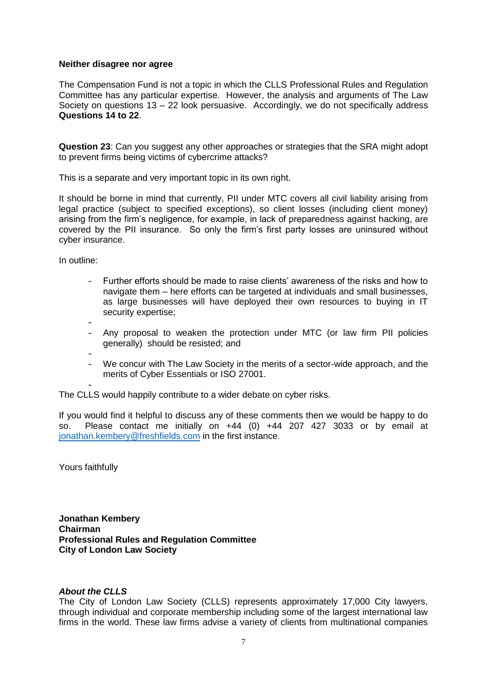#### **Neither disagree nor agree**

The Compensation Fund is not a topic in which the CLLS Professional Rules and Regulation Committee has any particular expertise. However, the analysis and arguments of The Law Society on questions 13 – 22 look persuasive. Accordingly, we do not specifically address **Questions 14 to 22**.

**Question 23**: Can you suggest any other approaches or strategies that the SRA might adopt to prevent firms being victims of cybercrime attacks?

This is a separate and very important topic in its own right.

It should be borne in mind that currently, PII under MTC covers all civil liability arising from legal practice (subject to specified exceptions), so client losses (including client money) arising from the firm's negligence, for example, in lack of preparedness against hacking, are covered by the PII insurance. So only the firm's first party losses are uninsured without cyber insurance.

In outline:

- Further efforts should be made to raise clients' awareness of the risks and how to navigate them – here efforts can be targeted at individuals and small businesses, as large businesses will have deployed their own resources to buying in IT security expertise;
- - Any proposal to weaken the protection under MTC (or law firm PII policies generally) should be resisted; and
- - We concur with The Law Society in the merits of a sector-wide approach, and the merits of Cyber Essentials or ISO 27001.

- The CLLS would happily contribute to a wider debate on cyber risks.

If you would find it helpful to discuss any of these comments then we would be happy to do so. Please contact me initially on +44 (0) +44 207 427 3033 or by email at jonathan.kembery@freshfields.com in the first instance.

Yours faithfully

**Jonathan Kembery Chairman Professional Rules and Regulation Committee City of London Law Society**

#### *About the CLLS*

The City of London Law Society (CLLS) represents approximately 17,000 City lawyers, through individual and corporate membership including some of the largest international law firms in the world. These law firms advise a variety of clients from multinational companies